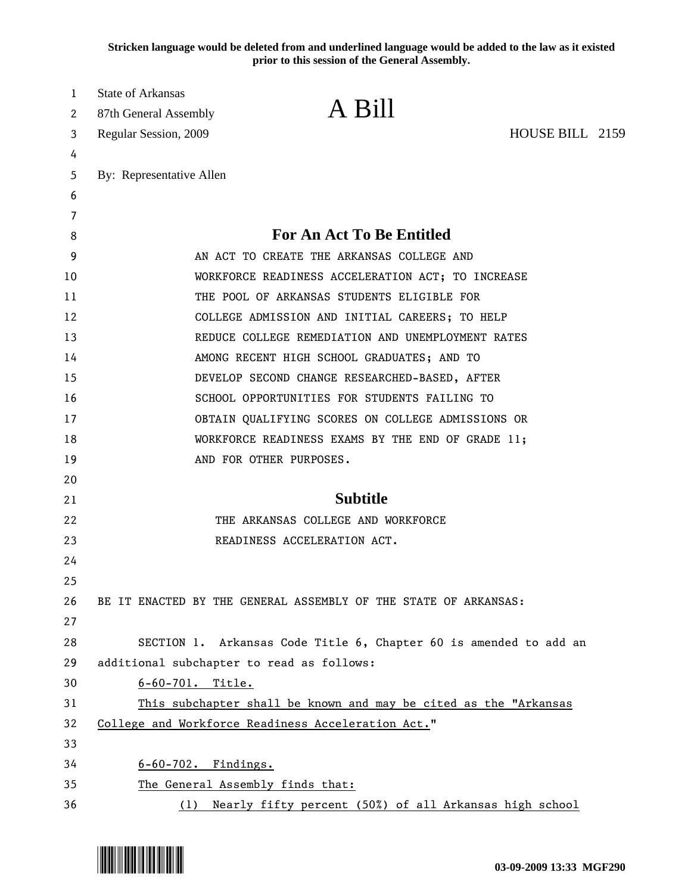**Stricken language would be deleted from and underlined language would be added to the law as it existed prior to this session of the General Assembly.**

| 1<br>2   | <b>State of Arkansas</b><br>87th General Assembly                                                              | A Bill                                                          | HOUSE BILL 2159 |  |
|----------|----------------------------------------------------------------------------------------------------------------|-----------------------------------------------------------------|-----------------|--|
| 3        | Regular Session, 2009                                                                                          |                                                                 |                 |  |
| 4<br>5   | By: Representative Allen                                                                                       |                                                                 |                 |  |
| 6        |                                                                                                                |                                                                 |                 |  |
| 7        |                                                                                                                |                                                                 |                 |  |
| 8        |                                                                                                                | <b>For An Act To Be Entitled</b>                                |                 |  |
| 9        | AN ACT TO CREATE THE ARKANSAS COLLEGE AND                                                                      |                                                                 |                 |  |
| 10       | WORKFORCE READINESS ACCELERATION ACT; TO INCREASE                                                              |                                                                 |                 |  |
| 11       | THE POOL OF ARKANSAS STUDENTS ELIGIBLE FOR                                                                     |                                                                 |                 |  |
| 12       | COLLEGE ADMISSION AND INITIAL CAREERS; TO HELP                                                                 |                                                                 |                 |  |
| 13       | REDUCE COLLEGE REMEDIATION AND UNEMPLOYMENT RATES                                                              |                                                                 |                 |  |
| 14       | AMONG RECENT HIGH SCHOOL GRADUATES; AND TO                                                                     |                                                                 |                 |  |
| 15       | DEVELOP SECOND CHANGE RESEARCHED-BASED, AFTER                                                                  |                                                                 |                 |  |
| 16       | SCHOOL OPPORTUNITIES FOR STUDENTS FAILING TO                                                                   |                                                                 |                 |  |
| 17       | OBTAIN QUALIFYING SCORES ON COLLEGE ADMISSIONS OR                                                              |                                                                 |                 |  |
| 18       | WORKFORCE READINESS EXAMS BY THE END OF GRADE 11;                                                              |                                                                 |                 |  |
| 19       |                                                                                                                | AND FOR OTHER PURPOSES.                                         |                 |  |
| 20       |                                                                                                                |                                                                 |                 |  |
| 21       |                                                                                                                | <b>Subtitle</b>                                                 |                 |  |
| 22       | THE ARKANSAS COLLEGE AND WORKFORCE                                                                             |                                                                 |                 |  |
| 23       |                                                                                                                | READINESS ACCELERATION ACT.                                     |                 |  |
| 24       |                                                                                                                |                                                                 |                 |  |
| 25       |                                                                                                                |                                                                 |                 |  |
| 26       |                                                                                                                | BE IT ENACTED BY THE GENERAL ASSEMBLY OF THE STATE OF ARKANSAS: |                 |  |
| 27<br>28 |                                                                                                                |                                                                 |                 |  |
| 29       | SECTION 1. Arkansas Code Title 6, Chapter 60 is amended to add an<br>additional subchapter to read as follows: |                                                                 |                 |  |
| 30       | $6 - 60 - 701$ . Title.                                                                                        |                                                                 |                 |  |
| 31       | This subchapter shall be known and may be cited as the "Arkansas                                               |                                                                 |                 |  |
| 32       | College and Workforce Readiness Acceleration Act."                                                             |                                                                 |                 |  |
| 33       |                                                                                                                |                                                                 |                 |  |
| 34       | 6-60-702. Findings.                                                                                            |                                                                 |                 |  |
| 35       | The General Assembly finds that:                                                                               |                                                                 |                 |  |
| 36       | Nearly fifty percent (50%) of all Arkansas high school<br>(1)                                                  |                                                                 |                 |  |